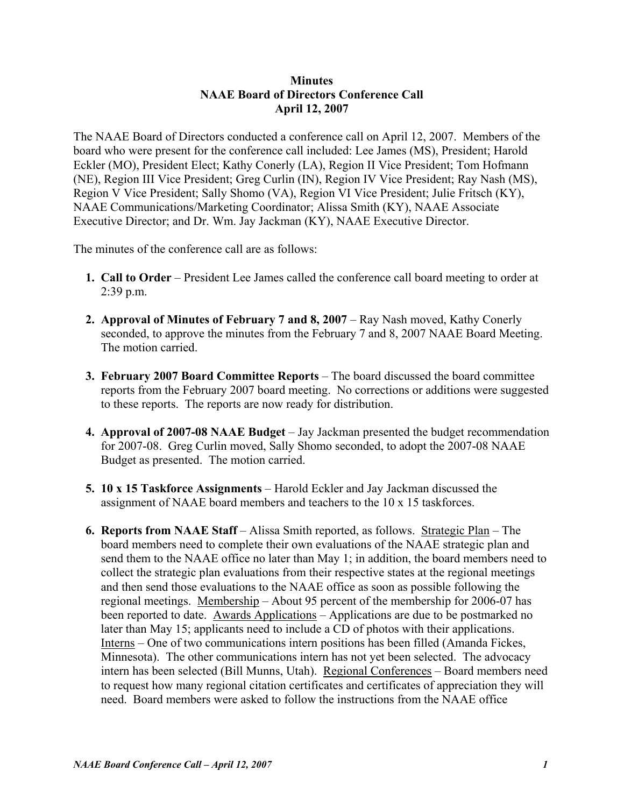## **Minutes NAAE Board of Directors Conference Call April 12, 2007**

The NAAE Board of Directors conducted a conference call on April 12, 2007. Members of the board who were present for the conference call included: Lee James (MS), President; Harold Eckler (MO), President Elect; Kathy Conerly (LA), Region II Vice President; Tom Hofmann (NE), Region III Vice President; Greg Curlin (IN), Region IV Vice President; Ray Nash (MS), Region V Vice President; Sally Shomo (VA), Region VI Vice President; Julie Fritsch (KY), NAAE Communications/Marketing Coordinator; Alissa Smith (KY), NAAE Associate Executive Director; and Dr. Wm. Jay Jackman (KY), NAAE Executive Director.

The minutes of the conference call are as follows:

- **1. Call to Order** President Lee James called the conference call board meeting to order at 2:39 p.m.
- **2. Approval of Minutes of February 7 and 8, 2007** Ray Nash moved, Kathy Conerly seconded, to approve the minutes from the February 7 and 8, 2007 NAAE Board Meeting. The motion carried.
- **3. February 2007 Board Committee Reports** The board discussed the board committee reports from the February 2007 board meeting. No corrections or additions were suggested to these reports. The reports are now ready for distribution.
- **4. Approval of 2007-08 NAAE Budget** Jay Jackman presented the budget recommendation for 2007-08. Greg Curlin moved, Sally Shomo seconded, to adopt the 2007-08 NAAE Budget as presented. The motion carried.
- **5. 10 x 15 Taskforce Assignments** Harold Eckler and Jay Jackman discussed the assignment of NAAE board members and teachers to the 10 x 15 taskforces.
- **6. Reports from NAAE Staff** Alissa Smith reported, as follows. Strategic Plan The board members need to complete their own evaluations of the NAAE strategic plan and send them to the NAAE office no later than May 1; in addition, the board members need to collect the strategic plan evaluations from their respective states at the regional meetings and then send those evaluations to the NAAE office as soon as possible following the regional meetings. Membership – About 95 percent of the membership for 2006-07 has been reported to date. Awards Applications – Applications are due to be postmarked no later than May 15; applicants need to include a CD of photos with their applications. Interns – One of two communications intern positions has been filled (Amanda Fickes, Minnesota). The other communications intern has not yet been selected. The advocacy intern has been selected (Bill Munns, Utah). Regional Conferences – Board members need to request how many regional citation certificates and certificates of appreciation they will need. Board members were asked to follow the instructions from the NAAE office